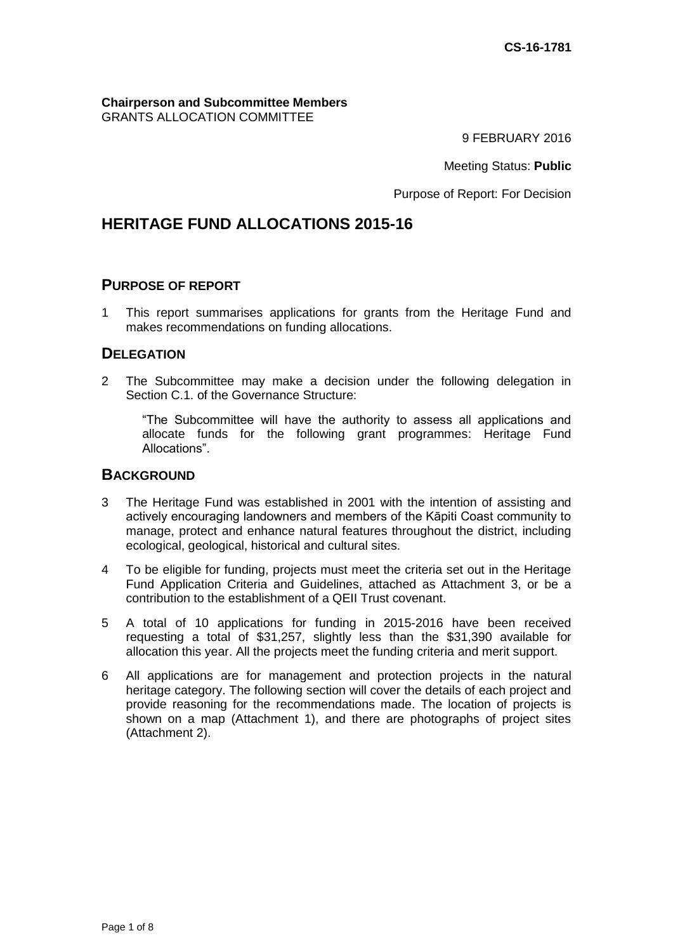**Chairperson and Subcommittee Members** GRANTS ALLOCATION COMMITTEE

9 FEBRUARY 2016

Meeting Status: **Public**

Purpose of Report: For Decision

# **HERITAGE FUND ALLOCATIONS 2015-16**

#### **PURPOSE OF REPORT**

1 This report summarises applications for grants from the Heritage Fund and makes recommendations on funding allocations.

## **DELEGATION**

2 The Subcommittee may make a decision under the following delegation in Section C.1. of the Governance Structure:

"The Subcommittee will have the authority to assess all applications and allocate funds for the following grant programmes: Heritage Fund Allocations".

### **BACKGROUND**

- 3 The Heritage Fund was established in 2001 with the intention of assisting and actively encouraging landowners and members of the Kāpiti Coast community to manage, protect and enhance natural features throughout the district, including ecological, geological, historical and cultural sites.
- 4 To be eligible for funding, projects must meet the criteria set out in the Heritage Fund Application Criteria and Guidelines, attached as Attachment 3, or be a contribution to the establishment of a QEII Trust covenant.
- 5 A total of 10 applications for funding in 2015-2016 have been received requesting a total of \$31,257, slightly less than the \$31,390 available for allocation this year. All the projects meet the funding criteria and merit support.
- 6 All applications are for management and protection projects in the natural heritage category. The following section will cover the details of each project and provide reasoning for the recommendations made. The location of projects is shown on a map (Attachment 1), and there are photographs of project sites (Attachment 2).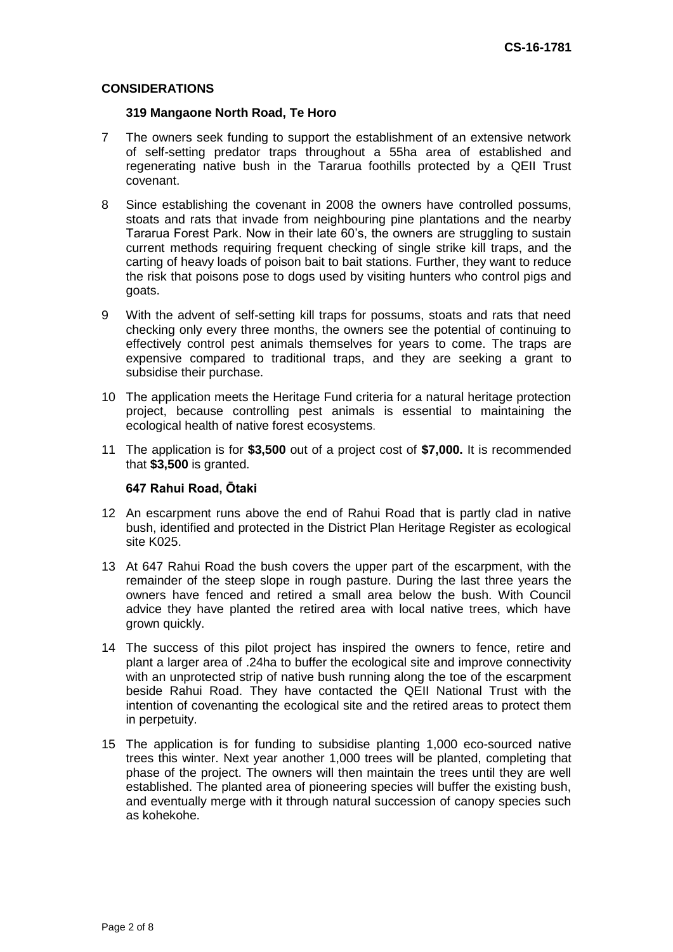#### **CONSIDERATIONS**

#### **319 Mangaone North Road, Te Horo**

- 7 The owners seek funding to support the establishment of an extensive network of self-setting predator traps throughout a 55ha area of established and regenerating native bush in the Tararua foothills protected by a QEII Trust covenant.
- 8 Since establishing the covenant in 2008 the owners have controlled possums, stoats and rats that invade from neighbouring pine plantations and the nearby Tararua Forest Park. Now in their late 60's, the owners are struggling to sustain current methods requiring frequent checking of single strike kill traps, and the carting of heavy loads of poison bait to bait stations. Further, they want to reduce the risk that poisons pose to dogs used by visiting hunters who control pigs and goats.
- 9 With the advent of self-setting kill traps for possums, stoats and rats that need checking only every three months, the owners see the potential of continuing to effectively control pest animals themselves for years to come. The traps are expensive compared to traditional traps, and they are seeking a grant to subsidise their purchase.
- 10 The application meets the Heritage Fund criteria for a natural heritage protection project, because controlling pest animals is essential to maintaining the ecological health of native forest ecosystems.
- 11 The application is for **\$3,500** out of a project cost of **\$7,000.** It is recommended that **\$3,500** is granted.

#### **647 Rahui Road, Ōtaki**

- 12 An escarpment runs above the end of Rahui Road that is partly clad in native bush, identified and protected in the District Plan Heritage Register as ecological site K025.
- 13 At 647 Rahui Road the bush covers the upper part of the escarpment, with the remainder of the steep slope in rough pasture. During the last three years the owners have fenced and retired a small area below the bush. With Council advice they have planted the retired area with local native trees, which have grown quickly.
- 14 The success of this pilot project has inspired the owners to fence, retire and plant a larger area of .24ha to buffer the ecological site and improve connectivity with an unprotected strip of native bush running along the toe of the escarpment beside Rahui Road. They have contacted the QEII National Trust with the intention of covenanting the ecological site and the retired areas to protect them in perpetuity.
- 15 The application is for funding to subsidise planting 1,000 eco-sourced native trees this winter. Next year another 1,000 trees will be planted, completing that phase of the project. The owners will then maintain the trees until they are well established. The planted area of pioneering species will buffer the existing bush, and eventually merge with it through natural succession of canopy species such as kohekohe.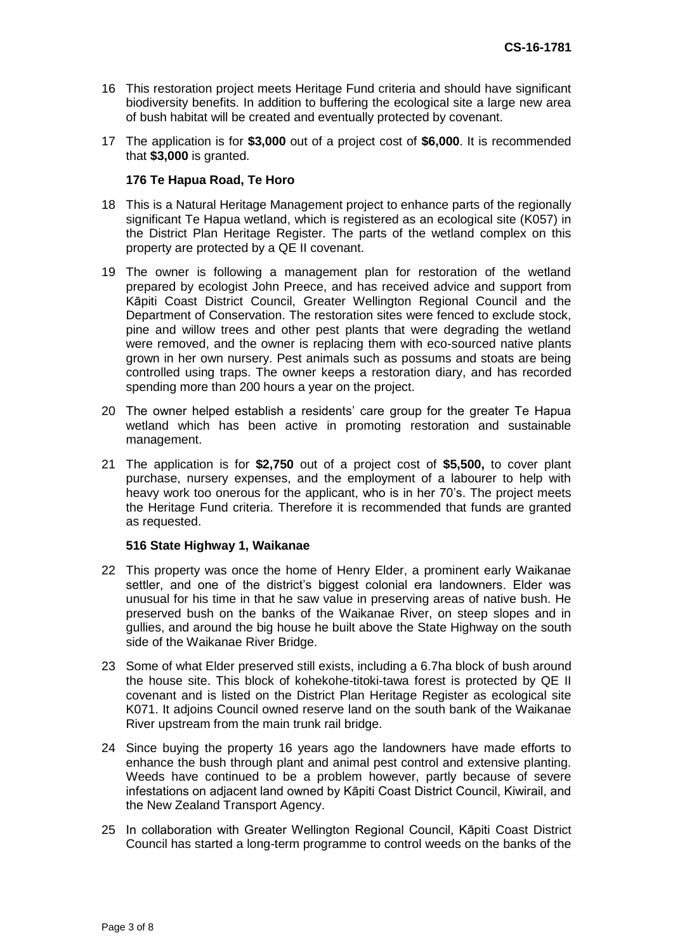- 16 This restoration project meets Heritage Fund criteria and should have significant biodiversity benefits. In addition to buffering the ecological site a large new area of bush habitat will be created and eventually protected by covenant.
- 17 The application is for **\$3,000** out of a project cost of **\$6,000**. It is recommended that **\$3,000** is granted.

#### **176 Te Hapua Road, Te Horo**

- 18 This is a Natural Heritage Management project to enhance parts of the regionally significant Te Hapua wetland, which is registered as an ecological site (K057) in the District Plan Heritage Register. The parts of the wetland complex on this property are protected by a QE II covenant.
- 19 The owner is following a management plan for restoration of the wetland prepared by ecologist John Preece, and has received advice and support from Kāpiti Coast District Council, Greater Wellington Regional Council and the Department of Conservation. The restoration sites were fenced to exclude stock, pine and willow trees and other pest plants that were degrading the wetland were removed, and the owner is replacing them with eco-sourced native plants grown in her own nursery. Pest animals such as possums and stoats are being controlled using traps. The owner keeps a restoration diary, and has recorded spending more than 200 hours a year on the project.
- 20 The owner helped establish a residents' care group for the greater Te Hapua wetland which has been active in promoting restoration and sustainable management.
- 21 The application is for **\$2,750** out of a project cost of **\$5,500,** to cover plant purchase, nursery expenses, and the employment of a labourer to help with heavy work too onerous for the applicant, who is in her 70's. The project meets the Heritage Fund criteria. Therefore it is recommended that funds are granted as requested.

#### **516 State Highway 1, Waikanae**

- 22 This property was once the home of Henry Elder, a prominent early Waikanae settler, and one of the district's biggest colonial era landowners. Elder was unusual for his time in that he saw value in preserving areas of native bush. He preserved bush on the banks of the Waikanae River, on steep slopes and in gullies, and around the big house he built above the State Highway on the south side of the Waikanae River Bridge.
- 23 Some of what Elder preserved still exists, including a 6.7ha block of bush around the house site. This block of kohekohe-titoki-tawa forest is protected by QE II covenant and is listed on the District Plan Heritage Register as ecological site K071. It adjoins Council owned reserve land on the south bank of the Waikanae River upstream from the main trunk rail bridge.
- 24 Since buying the property 16 years ago the landowners have made efforts to enhance the bush through plant and animal pest control and extensive planting. Weeds have continued to be a problem however, partly because of severe infestations on adjacent land owned by Kāpiti Coast District Council, Kiwirail, and the New Zealand Transport Agency.
- 25 In collaboration with Greater Wellington Regional Council, Kāpiti Coast District Council has started a long-term programme to control weeds on the banks of the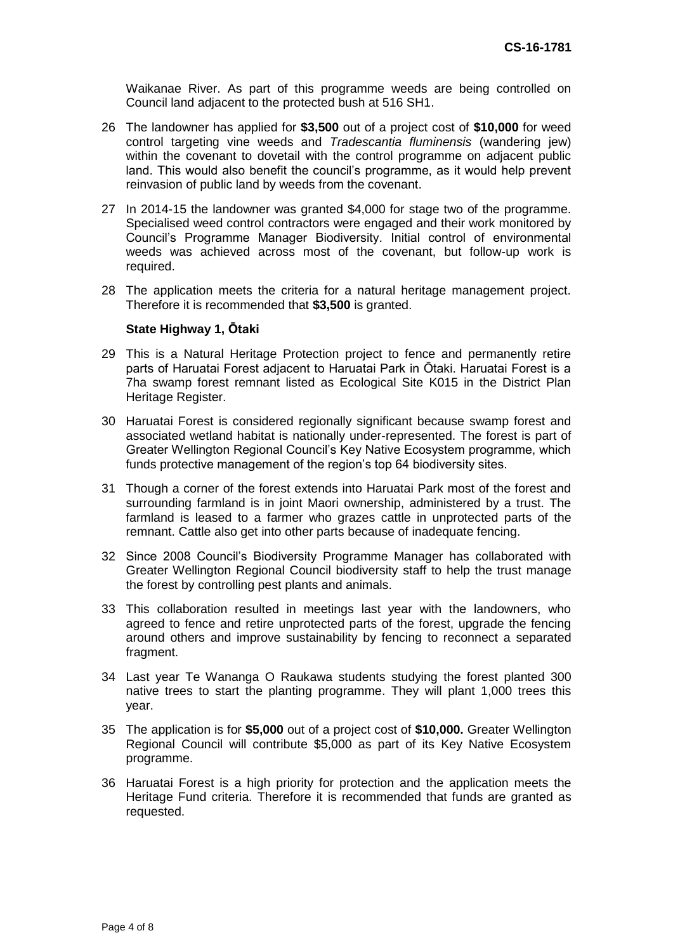Waikanae River. As part of this programme weeds are being controlled on Council land adjacent to the protected bush at 516 SH1.

- 26 The landowner has applied for **\$3,500** out of a project cost of **\$10,000** for weed control targeting vine weeds and *Tradescantia fluminensis* (wandering jew) within the covenant to dovetail with the control programme on adjacent public land. This would also benefit the council's programme, as it would help prevent reinvasion of public land by weeds from the covenant.
- 27 In 2014-15 the landowner was granted \$4,000 for stage two of the programme. Specialised weed control contractors were engaged and their work monitored by Council's Programme Manager Biodiversity. Initial control of environmental weeds was achieved across most of the covenant, but follow-up work is required.
- 28 The application meets the criteria for a natural heritage management project. Therefore it is recommended that **\$3,500** is granted.

#### **State Highway 1, Ōtaki**

- 29 This is a Natural Heritage Protection project to fence and permanently retire parts of Haruatai Forest adjacent to Haruatai Park in Ōtaki. Haruatai Forest is a 7ha swamp forest remnant listed as Ecological Site K015 in the District Plan Heritage Register.
- 30 Haruatai Forest is considered regionally significant because swamp forest and associated wetland habitat is nationally under-represented. The forest is part of Greater Wellington Regional Council's Key Native Ecosystem programme, which funds protective management of the region's top 64 biodiversity sites.
- 31 Though a corner of the forest extends into Haruatai Park most of the forest and surrounding farmland is in joint Maori ownership, administered by a trust. The farmland is leased to a farmer who grazes cattle in unprotected parts of the remnant. Cattle also get into other parts because of inadequate fencing.
- 32 Since 2008 Council's Biodiversity Programme Manager has collaborated with Greater Wellington Regional Council biodiversity staff to help the trust manage the forest by controlling pest plants and animals.
- 33 This collaboration resulted in meetings last year with the landowners, who agreed to fence and retire unprotected parts of the forest, upgrade the fencing around others and improve sustainability by fencing to reconnect a separated fragment.
- 34 Last year Te Wananga O Raukawa students studying the forest planted 300 native trees to start the planting programme. They will plant 1,000 trees this year.
- 35 The application is for **\$5,000** out of a project cost of **\$10,000.** Greater Wellington Regional Council will contribute \$5,000 as part of its Key Native Ecosystem programme.
- 36 Haruatai Forest is a high priority for protection and the application meets the Heritage Fund criteria. Therefore it is recommended that funds are granted as requested.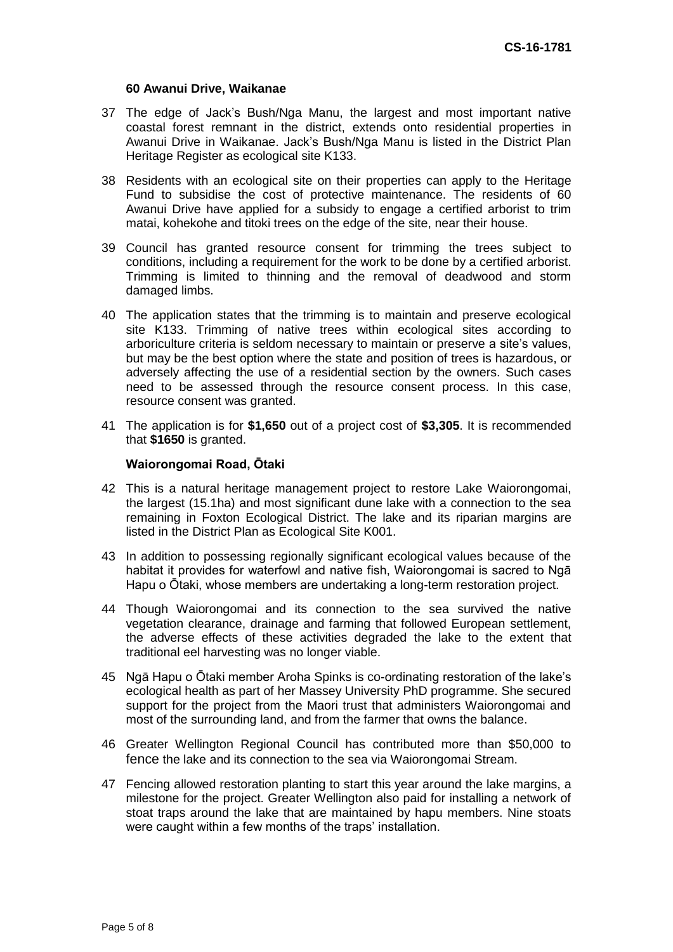#### **60 Awanui Drive, Waikanae**

- 37 The edge of Jack's Bush/Nga Manu, the largest and most important native coastal forest remnant in the district, extends onto residential properties in Awanui Drive in Waikanae. Jack's Bush/Nga Manu is listed in the District Plan Heritage Register as ecological site K133.
- 38 Residents with an ecological site on their properties can apply to the Heritage Fund to subsidise the cost of protective maintenance. The residents of 60 Awanui Drive have applied for a subsidy to engage a certified arborist to trim matai, kohekohe and titoki trees on the edge of the site, near their house.
- 39 Council has granted resource consent for trimming the trees subject to conditions, including a requirement for the work to be done by a certified arborist. Trimming is limited to thinning and the removal of deadwood and storm damaged limbs.
- 40 The application states that the trimming is to maintain and preserve ecological site K133. Trimming of native trees within ecological sites according to arboriculture criteria is seldom necessary to maintain or preserve a site's values, but may be the best option where the state and position of trees is hazardous, or adversely affecting the use of a residential section by the owners. Such cases need to be assessed through the resource consent process. In this case, resource consent was granted.
- 41 The application is for **\$1,650** out of a project cost of **\$3,305**. It is recommended that **\$1650** is granted.

#### **Waiorongomai Road, Ōtaki**

- 42 This is a natural heritage management project to restore Lake Waiorongomai, the largest (15.1ha) and most significant dune lake with a connection to the sea remaining in Foxton Ecological District. The lake and its riparian margins are listed in the District Plan as Ecological Site K001.
- 43 In addition to possessing regionally significant ecological values because of the habitat it provides for waterfowl and native fish, Waiorongomai is sacred to Ngā Hapu o Ōtaki, whose members are undertaking a long-term restoration project.
- 44 Though Waiorongomai and its connection to the sea survived the native vegetation clearance, drainage and farming that followed European settlement, the adverse effects of these activities degraded the lake to the extent that traditional eel harvesting was no longer viable.
- 45 Ngā Hapu o Ōtaki member Aroha Spinks is co-ordinating restoration of the lake's ecological health as part of her Massey University PhD programme. She secured support for the project from the Maori trust that administers Waiorongomai and most of the surrounding land, and from the farmer that owns the balance.
- 46 Greater Wellington Regional Council has contributed more than \$50,000 to fence the lake and its connection to the sea via Waiorongomai Stream.
- 47 Fencing allowed restoration planting to start this year around the lake margins, a milestone for the project. Greater Wellington also paid for installing a network of stoat traps around the lake that are maintained by hapu members. Nine stoats were caught within a few months of the traps' installation.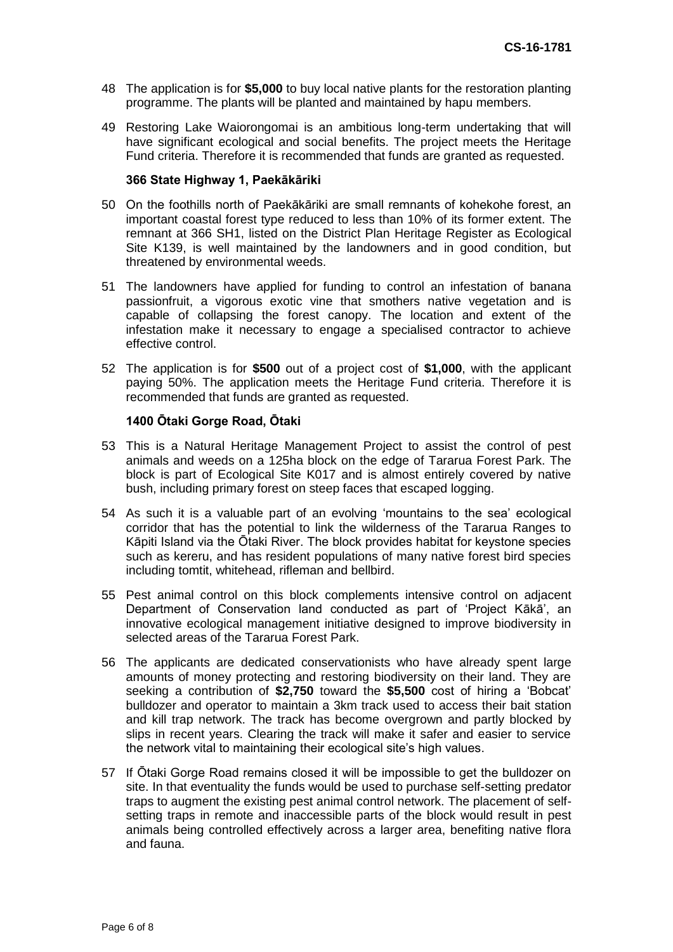- 48 The application is for **\$5,000** to buy local native plants for the restoration planting programme. The plants will be planted and maintained by hapu members.
- 49 Restoring Lake Waiorongomai is an ambitious long-term undertaking that will have significant ecological and social benefits. The project meets the Heritage Fund criteria. Therefore it is recommended that funds are granted as requested.

#### **366 State Highway 1, Paekākāriki**

- 50 On the foothills north of Paekākāriki are small remnants of kohekohe forest, an important coastal forest type reduced to less than 10% of its former extent. The remnant at 366 SH1, listed on the District Plan Heritage Register as Ecological Site K139, is well maintained by the landowners and in good condition, but threatened by environmental weeds.
- 51 The landowners have applied for funding to control an infestation of banana passionfruit, a vigorous exotic vine that smothers native vegetation and is capable of collapsing the forest canopy. The location and extent of the infestation make it necessary to engage a specialised contractor to achieve effective control.
- 52 The application is for **\$500** out of a project cost of **\$1,000**, with the applicant paying 50%. The application meets the Heritage Fund criteria. Therefore it is recommended that funds are granted as requested.

#### **1400 Ōtaki Gorge Road, Ōtaki**

- 53 This is a Natural Heritage Management Project to assist the control of pest animals and weeds on a 125ha block on the edge of Tararua Forest Park. The block is part of Ecological Site K017 and is almost entirely covered by native bush, including primary forest on steep faces that escaped logging.
- 54 As such it is a valuable part of an evolving 'mountains to the sea' ecological corridor that has the potential to link the wilderness of the Tararua Ranges to Kāpiti Island via the Ōtaki River. The block provides habitat for keystone species such as kereru, and has resident populations of many native forest bird species including tomtit, whitehead, rifleman and bellbird.
- 55 Pest animal control on this block complements intensive control on adjacent Department of Conservation land conducted as part of 'Project Kākā', an innovative ecological management initiative designed to improve biodiversity in selected areas of the Tararua Forest Park.
- 56 The applicants are dedicated conservationists who have already spent large amounts of money protecting and restoring biodiversity on their land. They are seeking a contribution of **\$2,750** toward the **\$5,500** cost of hiring a 'Bobcat' bulldozer and operator to maintain a 3km track used to access their bait station and kill trap network. The track has become overgrown and partly blocked by slips in recent years. Clearing the track will make it safer and easier to service the network vital to maintaining their ecological site's high values.
- 57 If Ōtaki Gorge Road remains closed it will be impossible to get the bulldozer on site. In that eventuality the funds would be used to purchase self-setting predator traps to augment the existing pest animal control network. The placement of selfsetting traps in remote and inaccessible parts of the block would result in pest animals being controlled effectively across a larger area, benefiting native flora and fauna.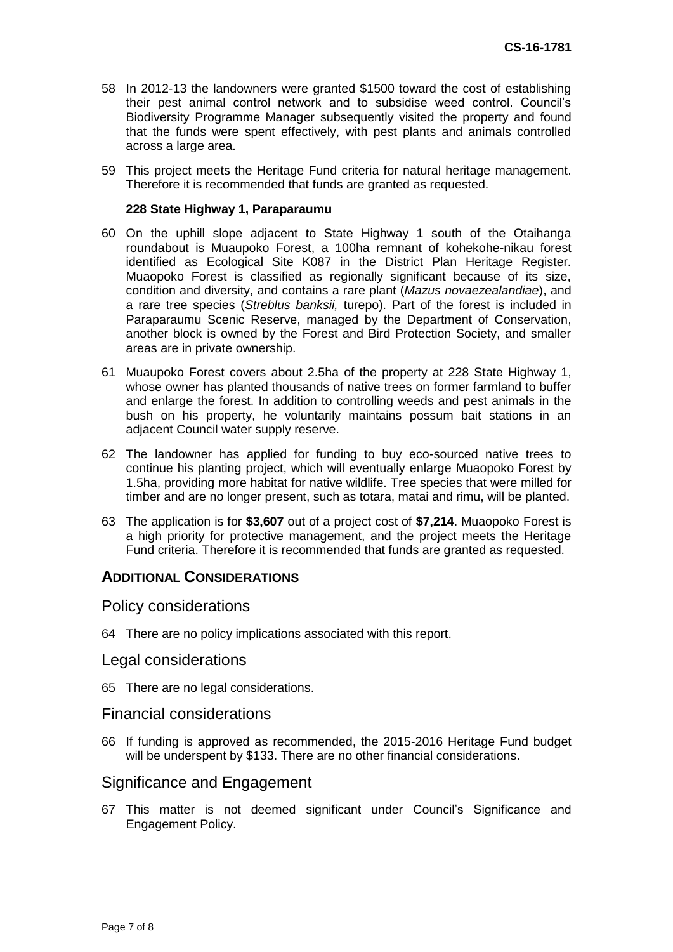- 58 In 2012-13 the landowners were granted \$1500 toward the cost of establishing their pest animal control network and to subsidise weed control. Council's Biodiversity Programme Manager subsequently visited the property and found that the funds were spent effectively, with pest plants and animals controlled across a large area.
- 59 This project meets the Heritage Fund criteria for natural heritage management. Therefore it is recommended that funds are granted as requested.

#### **228 State Highway 1, Paraparaumu**

- 60 On the uphill slope adjacent to State Highway 1 south of the Otaihanga roundabout is Muaupoko Forest, a 100ha remnant of kohekohe-nikau forest identified as Ecological Site K087 in the District Plan Heritage Register. Muaopoko Forest is classified as regionally significant because of its size, condition and diversity, and contains a rare plant (*Mazus novaezealandiae*), and a rare tree species (*Streblus banksii,* turepo). Part of the forest is included in Paraparaumu Scenic Reserve, managed by the Department of Conservation, another block is owned by the Forest and Bird Protection Society, and smaller areas are in private ownership.
- 61 Muaupoko Forest covers about 2.5ha of the property at 228 State Highway 1, whose owner has planted thousands of native trees on former farmland to buffer and enlarge the forest. In addition to controlling weeds and pest animals in the bush on his property, he voluntarily maintains possum bait stations in an adjacent Council water supply reserve.
- 62 The landowner has applied for funding to buy eco-sourced native trees to continue his planting project, which will eventually enlarge Muaopoko Forest by 1.5ha, providing more habitat for native wildlife. Tree species that were milled for timber and are no longer present, such as totara, matai and rimu, will be planted.
- 63 The application is for **\$3,607** out of a project cost of **\$7,214**. Muaopoko Forest is a high priority for protective management, and the project meets the Heritage Fund criteria. Therefore it is recommended that funds are granted as requested.

#### **ADDITIONAL CONSIDERATIONS**

#### Policy considerations

64 There are no policy implications associated with this report.

#### Legal considerations

65 There are no legal considerations.

## Financial considerations

66 If funding is approved as recommended, the 2015-2016 Heritage Fund budget will be underspent by \$133. There are no other financial considerations.

#### Significance and Engagement

67 This matter is not deemed significant under Council's Significance and Engagement Policy.